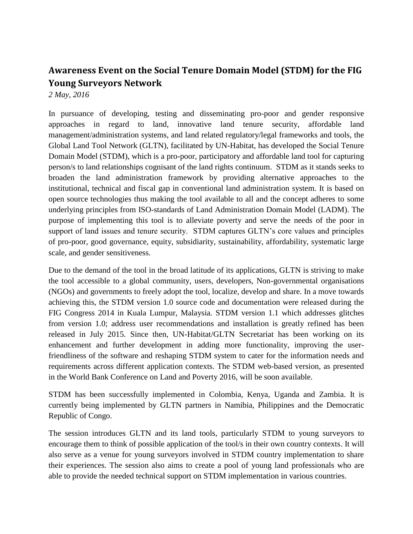## **Awareness Event on the Social Tenure Domain Model (STDM) for the FIG Young Surveyors Network**

*2 May, 2016*

In pursuance of developing, testing and disseminating pro-poor and gender responsive approaches in regard to land, innovative land tenure security, affordable land management/administration systems, and land related regulatory/legal frameworks and tools, the Global Land Tool Network (GLTN), facilitated by UN-Habitat, has developed the Social Tenure Domain Model (STDM), which is a pro-poor, participatory and affordable land tool for capturing person/s to land relationships cognisant of the land rights continuum. STDM as it stands seeks to broaden the land administration framework by providing alternative approaches to the institutional, technical and fiscal gap in conventional land administration system. It is based on open source technologies thus making the tool available to all and the concept adheres to some underlying principles from ISO-standards of Land Administration Domain Model (LADM). The purpose of implementing this tool is to alleviate poverty and serve the needs of the poor in support of land issues and tenure security. STDM captures GLTN's core values and principles of pro-poor, good governance, equity, subsidiarity, sustainability, affordability, systematic large scale, and gender sensitiveness.

Due to the demand of the tool in the broad latitude of its applications, GLTN is striving to make the tool accessible to a global community, users, developers, Non-governmental organisations (NGOs) and governments to freely adopt the tool, localize, develop and share. In a move towards achieving this, the STDM version 1.0 source code and documentation were released during the FIG Congress 2014 in Kuala Lumpur, Malaysia. STDM version 1.1 which addresses glitches from version 1.0; address user recommendations and installation is greatly refined has been released in July 2015. Since then, UN-Habitat/GLTN Secretariat has been working on its enhancement and further development in adding more functionality, improving the userfriendliness of the software and reshaping STDM system to cater for the information needs and requirements across different application contexts. The STDM web-based version, as presented in the World Bank Conference on Land and Poverty 2016, will be soon available.

STDM has been successfully implemented in Colombia, Kenya, Uganda and Zambia. It is currently being implemented by GLTN partners in Namibia, Philippines and the Democratic Republic of Congo.

The session introduces GLTN and its land tools, particularly STDM to young surveyors to encourage them to think of possible application of the tool/s in their own country contexts. It will also serve as a venue for young surveyors involved in STDM country implementation to share their experiences. The session also aims to create a pool of young land professionals who are able to provide the needed technical support on STDM implementation in various countries.